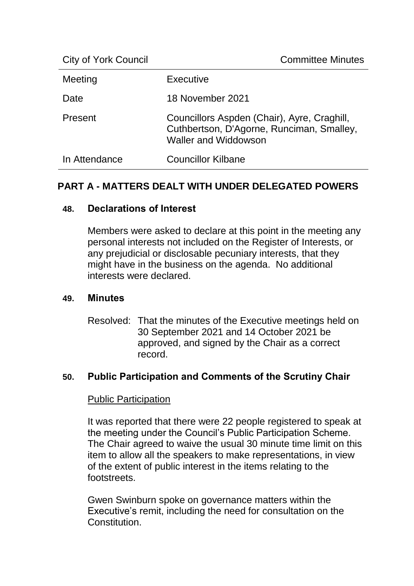| <b>City of York Council</b> | <b>Committee Minutes</b>                                                                                                |
|-----------------------------|-------------------------------------------------------------------------------------------------------------------------|
| Meeting                     | <b>Executive</b>                                                                                                        |
| Date                        | 18 November 2021                                                                                                        |
| Present                     | Councillors Aspden (Chair), Ayre, Craghill,<br>Cuthbertson, D'Agorne, Runciman, Smalley,<br><b>Waller and Widdowson</b> |
| In Attendance               | <b>Councillor Kilbane</b>                                                                                               |

# **PART A - MATTERS DEALT WITH UNDER DELEGATED POWERS**

### **48. Declarations of Interest**

Members were asked to declare at this point in the meeting any personal interests not included on the Register of Interests, or any prejudicial or disclosable pecuniary interests, that they might have in the business on the agenda. No additional interests were declared.

### **49. Minutes**

Resolved: That the minutes of the Executive meetings held on 30 September 2021 and 14 October 2021 be approved, and signed by the Chair as a correct record.

### **50. Public Participation and Comments of the Scrutiny Chair**

### Public Participation

It was reported that there were 22 people registered to speak at the meeting under the Council's Public Participation Scheme. The Chair agreed to waive the usual 30 minute time limit on this item to allow all the speakers to make representations, in view of the extent of public interest in the items relating to the footstreets.

Gwen Swinburn spoke on governance matters within the Executive's remit, including the need for consultation on the **Constitution**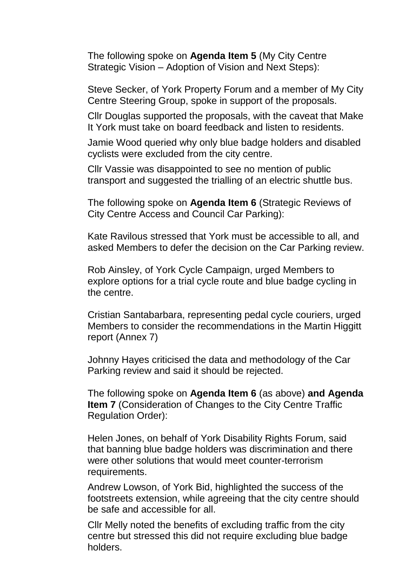The following spoke on **Agenda Item 5** (My City Centre Strategic Vision – Adoption of Vision and Next Steps):

Steve Secker, of York Property Forum and a member of My City Centre Steering Group, spoke in support of the proposals.

Cllr Douglas supported the proposals, with the caveat that Make It York must take on board feedback and listen to residents.

Jamie Wood queried why only blue badge holders and disabled cyclists were excluded from the city centre.

Cllr Vassie was disappointed to see no mention of public transport and suggested the trialling of an electric shuttle bus.

The following spoke on **Agenda Item 6** (Strategic Reviews of City Centre Access and Council Car Parking):

Kate Ravilous stressed that York must be accessible to all, and asked Members to defer the decision on the Car Parking review.

Rob Ainsley, of York Cycle Campaign, urged Members to explore options for a trial cycle route and blue badge cycling in the centre.

Cristian Santabarbara, representing pedal cycle couriers, urged Members to consider the recommendations in the Martin Higgitt report (Annex 7)

Johnny Hayes criticised the data and methodology of the Car Parking review and said it should be rejected.

The following spoke on **Agenda Item 6** (as above) **and Agenda Item 7** (Consideration of Changes to the City Centre Traffic Regulation Order):

Helen Jones, on behalf of York Disability Rights Forum, said that banning blue badge holders was discrimination and there were other solutions that would meet counter-terrorism requirements.

Andrew Lowson, of York Bid, highlighted the success of the footstreets extension, while agreeing that the city centre should be safe and accessible for all.

Cllr Melly noted the benefits of excluding traffic from the city centre but stressed this did not require excluding blue badge holders.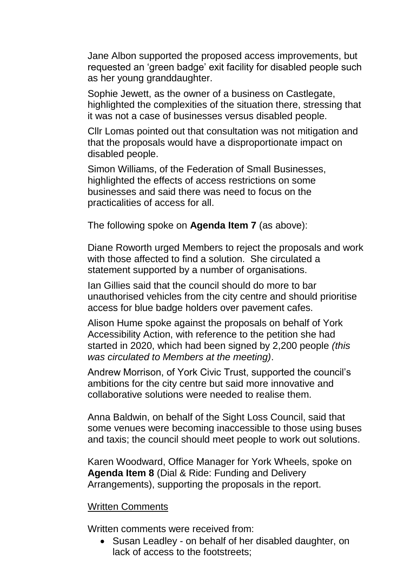Jane Albon supported the proposed access improvements, but requested an 'green badge' exit facility for disabled people such as her young granddaughter.

Sophie Jewett, as the owner of a business on Castlegate, highlighted the complexities of the situation there, stressing that it was not a case of businesses versus disabled people.

Cllr Lomas pointed out that consultation was not mitigation and that the proposals would have a disproportionate impact on disabled people.

Simon Williams, of the Federation of Small Businesses, highlighted the effects of access restrictions on some businesses and said there was need to focus on the practicalities of access for all.

The following spoke on **Agenda Item 7** (as above):

Diane Roworth urged Members to reject the proposals and work with those affected to find a solution. She circulated a statement supported by a number of organisations.

Ian Gillies said that the council should do more to bar unauthorised vehicles from the city centre and should prioritise access for blue badge holders over pavement cafes.

Alison Hume spoke against the proposals on behalf of York Accessibility Action, with reference to the petition she had started in 2020, which had been signed by 2,200 people *(this was circulated to Members at the meeting)*.

Andrew Morrison, of York Civic Trust, supported the council's ambitions for the city centre but said more innovative and collaborative solutions were needed to realise them.

Anna Baldwin, on behalf of the Sight Loss Council, said that some venues were becoming inaccessible to those using buses and taxis; the council should meet people to work out solutions.

Karen Woodward, Office Manager for York Wheels, spoke on **Agenda Item 8** (Dial & Ride: Funding and Delivery Arrangements), supporting the proposals in the report.

#### Written Comments

Written comments were received from:

• Susan Leadley - on behalf of her disabled daughter, on lack of access to the footstreets;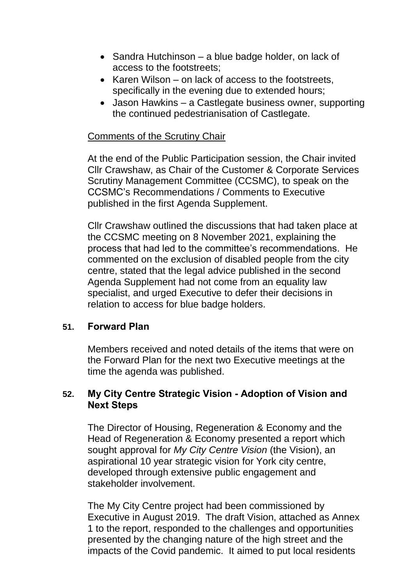- Sandra Hutchinson a blue badge holder, on lack of access to the footstreets;
- Karen Wilson on lack of access to the footstreets, specifically in the evening due to extended hours;
- Jason Hawkins a Castlegate business owner, supporting the continued pedestrianisation of Castlegate.

## Comments of the Scrutiny Chair

At the end of the Public Participation session, the Chair invited Cllr Crawshaw, as Chair of the Customer & Corporate Services Scrutiny Management Committee (CCSMC), to speak on the CCSMC's Recommendations / Comments to Executive published in the first Agenda Supplement.

Cllr Crawshaw outlined the discussions that had taken place at the CCSMC meeting on 8 November 2021, explaining the process that had led to the committee's recommendations. He commented on the exclusion of disabled people from the city centre, stated that the legal advice published in the second Agenda Supplement had not come from an equality law specialist, and urged Executive to defer their decisions in relation to access for blue badge holders.

### **51. Forward Plan**

Members received and noted details of the items that were on the Forward Plan for the next two Executive meetings at the time the agenda was published.

## **52. My City Centre Strategic Vision - Adoption of Vision and Next Steps**

The Director of Housing, Regeneration & Economy and the Head of Regeneration & Economy presented a report which sought approval for *My City Centre Vision* (the Vision), an aspirational 10 year strategic vision for York city centre, developed through extensive public engagement and stakeholder involvement.

The My City Centre project had been commissioned by Executive in August 2019. The draft Vision, attached as Annex 1 to the report, responded to the challenges and opportunities presented by the changing nature of the high street and the impacts of the Covid pandemic. It aimed to put local residents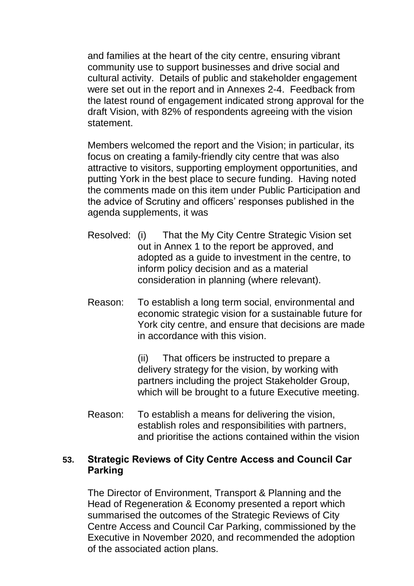and families at the heart of the city centre, ensuring vibrant community use to support businesses and drive social and cultural activity. Details of public and stakeholder engagement were set out in the report and in Annexes 2-4. Feedback from the latest round of engagement indicated strong approval for the draft Vision, with 82% of respondents agreeing with the vision statement.

Members welcomed the report and the Vision; in particular, its focus on creating a family-friendly city centre that was also attractive to visitors, supporting employment opportunities, and putting York in the best place to secure funding. Having noted the comments made on this item under Public Participation and the advice of Scrutiny and officers' responses published in the agenda supplements, it was

- Resolved: (i) That the My City Centre Strategic Vision set out in Annex 1 to the report be approved, and adopted as a guide to investment in the centre, to inform policy decision and as a material consideration in planning (where relevant).
- Reason: To establish a long term social, environmental and economic strategic vision for a sustainable future for York city centre, and ensure that decisions are made in accordance with this vision.

(ii) That officers be instructed to prepare a delivery strategy for the vision, by working with partners including the project Stakeholder Group, which will be brought to a future Executive meeting.

Reason: To establish a means for delivering the vision, establish roles and responsibilities with partners, and prioritise the actions contained within the vision

## **53. Strategic Reviews of City Centre Access and Council Car Parking**

The Director of Environment, Transport & Planning and the Head of Regeneration & Economy presented a report which summarised the outcomes of the Strategic Reviews of City Centre Access and Council Car Parking, commissioned by the Executive in November 2020, and recommended the adoption of the associated action plans.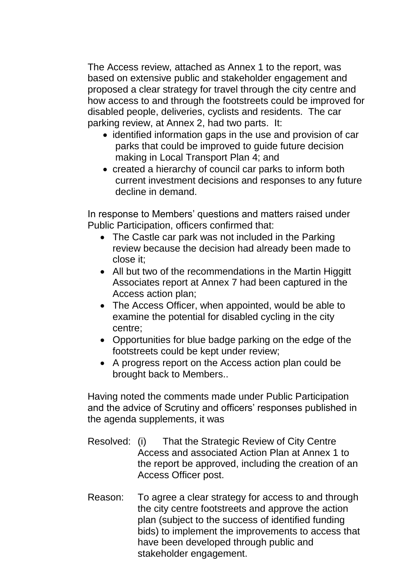The Access review, attached as Annex 1 to the report, was based on extensive public and stakeholder engagement and proposed a clear strategy for travel through the city centre and how access to and through the footstreets could be improved for disabled people, deliveries, cyclists and residents. The car parking review, at Annex 2, had two parts. It:

- identified information gaps in the use and provision of car parks that could be improved to guide future decision making in Local Transport Plan 4; and
- created a hierarchy of council car parks to inform both current investment decisions and responses to any future decline in demand.

In response to Members' questions and matters raised under Public Participation, officers confirmed that:

- The Castle car park was not included in the Parking review because the decision had already been made to close it;
- All but two of the recommendations in the Martin Higgitt Associates report at Annex 7 had been captured in the Access action plan;
- The Access Officer, when appointed, would be able to examine the potential for disabled cycling in the city centre;
- Opportunities for blue badge parking on the edge of the footstreets could be kept under review;
- A progress report on the Access action plan could be brought back to Members..

Having noted the comments made under Public Participation and the advice of Scrutiny and officers' responses published in the agenda supplements, it was

- Resolved: (i) That the Strategic Review of City Centre Access and associated Action Plan at Annex 1 to the report be approved, including the creation of an Access Officer post.
- Reason: To agree a clear strategy for access to and through the city centre footstreets and approve the action plan (subject to the success of identified funding bids) to implement the improvements to access that have been developed through public and stakeholder engagement.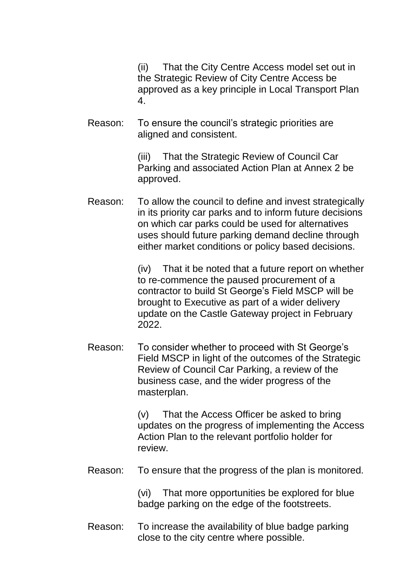(ii) That the City Centre Access model set out in the Strategic Review of City Centre Access be approved as a key principle in Local Transport Plan 4.

Reason: To ensure the council's strategic priorities are aligned and consistent.

> (iii) That the Strategic Review of Council Car Parking and associated Action Plan at Annex 2 be approved.

Reason: To allow the council to define and invest strategically in its priority car parks and to inform future decisions on which car parks could be used for alternatives uses should future parking demand decline through either market conditions or policy based decisions.

> (iv) That it be noted that a future report on whether to re-commence the paused procurement of a contractor to build St George's Field MSCP will be brought to Executive as part of a wider delivery update on the Castle Gateway project in February 2022.

Reason: To consider whether to proceed with St George's Field MSCP in light of the outcomes of the Strategic Review of Council Car Parking, a review of the business case, and the wider progress of the masterplan.

> (v) That the Access Officer be asked to bring updates on the progress of implementing the Access Action Plan to the relevant portfolio holder for review.

Reason: To ensure that the progress of the plan is monitored.

(vi) That more opportunities be explored for blue badge parking on the edge of the footstreets.

Reason: To increase the availability of blue badge parking close to the city centre where possible.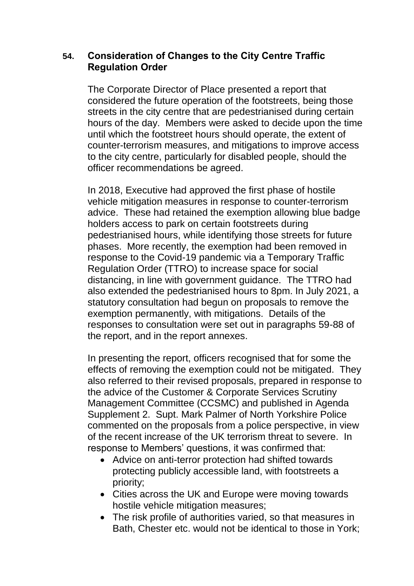## **54. Consideration of Changes to the City Centre Traffic Regulation Order**

The Corporate Director of Place presented a report that considered the future operation of the footstreets, being those streets in the city centre that are pedestrianised during certain hours of the day. Members were asked to decide upon the time until which the footstreet hours should operate, the extent of counter-terrorism measures, and mitigations to improve access to the city centre, particularly for disabled people, should the officer recommendations be agreed.

In 2018, Executive had approved the first phase of hostile vehicle mitigation measures in response to counter-terrorism advice. These had retained the exemption allowing blue badge holders access to park on certain footstreets during pedestrianised hours, while identifying those streets for future phases. More recently, the exemption had been removed in response to the Covid-19 pandemic via a Temporary Traffic Regulation Order (TTRO) to increase space for social distancing, in line with government guidance. The TTRO had also extended the pedestrianised hours to 8pm. In July 2021, a statutory consultation had begun on proposals to remove the exemption permanently, with mitigations. Details of the responses to consultation were set out in paragraphs 59-88 of the report, and in the report annexes.

In presenting the report, officers recognised that for some the effects of removing the exemption could not be mitigated. They also referred to their revised proposals, prepared in response to the advice of the Customer & Corporate Services Scrutiny Management Committee (CCSMC) and published in Agenda Supplement 2. Supt. Mark Palmer of North Yorkshire Police commented on the proposals from a police perspective, in view of the recent increase of the UK terrorism threat to severe. In response to Members' questions, it was confirmed that:

- Advice on anti-terror protection had shifted towards protecting publicly accessible land, with footstreets a priority;
- Cities across the UK and Europe were moving towards hostile vehicle mitigation measures;
- The risk profile of authorities varied, so that measures in Bath, Chester etc. would not be identical to those in York;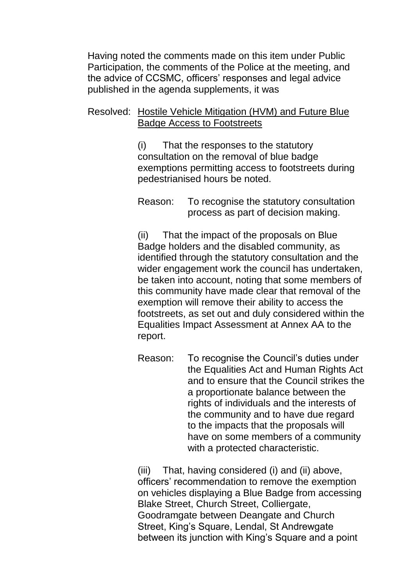Having noted the comments made on this item under Public Participation, the comments of the Police at the meeting, and the advice of CCSMC, officers' responses and legal advice published in the agenda supplements, it was

## Resolved: Hostile Vehicle Mitigation (HVM) and Future Blue Badge Access to Footstreets

(i) That the responses to the statutory consultation on the removal of blue badge exemptions permitting access to footstreets during pedestrianised hours be noted.

Reason: To recognise the statutory consultation process as part of decision making.

(ii) That the impact of the proposals on Blue Badge holders and the disabled community, as identified through the statutory consultation and the wider engagement work the council has undertaken, be taken into account, noting that some members of this community have made clear that removal of the exemption will remove their ability to access the footstreets, as set out and duly considered within the Equalities Impact Assessment at Annex AA to the report.

Reason: To recognise the Council's duties under the Equalities Act and Human Rights Act and to ensure that the Council strikes the a proportionate balance between the rights of individuals and the interests of the community and to have due regard to the impacts that the proposals will have on some members of a community with a protected characteristic.

(iii) That, having considered (i) and (ii) above, officers' recommendation to remove the exemption on vehicles displaying a Blue Badge from accessing Blake Street, Church Street, Colliergate, Goodramgate between Deangate and Church Street, King's Square, Lendal, St Andrewgate between its junction with King's Square and a point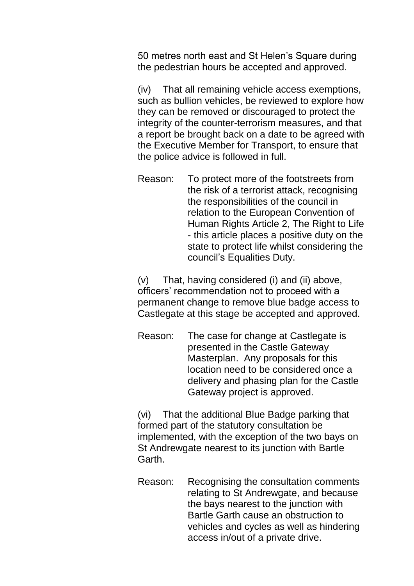50 metres north east and St Helen's Square during the pedestrian hours be accepted and approved.

(iv) That all remaining vehicle access exemptions, such as bullion vehicles, be reviewed to explore how they can be removed or discouraged to protect the integrity of the counter-terrorism measures, and that a report be brought back on a date to be agreed with the Executive Member for Transport, to ensure that the police advice is followed in full.

Reason: To protect more of the footstreets from the risk of a terrorist attack, recognising the responsibilities of the council in relation to the European Convention of Human Rights Article 2, The Right to Life - this article places a positive duty on the state to protect life whilst considering the council's Equalities Duty.

(v) That, having considered (i) and (ii) above, officers' recommendation not to proceed with a permanent change to remove blue badge access to Castlegate at this stage be accepted and approved.

Reason: The case for change at Castlegate is presented in the Castle Gateway Masterplan. Any proposals for this location need to be considered once a delivery and phasing plan for the Castle Gateway project is approved.

(vi) That the additional Blue Badge parking that formed part of the statutory consultation be implemented, with the exception of the two bays on St Andrewgate nearest to its junction with Bartle Garth.

Reason: Recognising the consultation comments relating to St Andrewgate, and because the bays nearest to the junction with Bartle Garth cause an obstruction to vehicles and cycles as well as hindering access in/out of a private drive.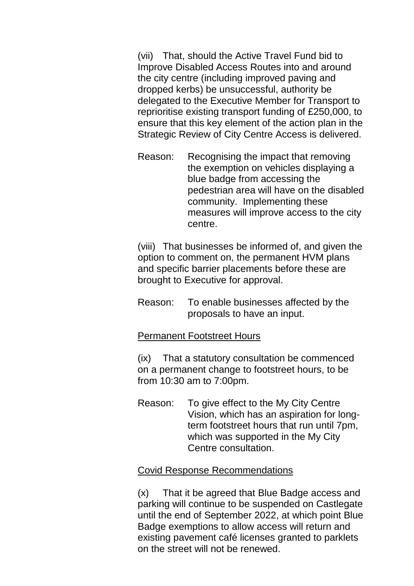(vii) That, should the Active Travel Fund bid to Improve Disabled Access Routes into and around the city centre (including improved paving and dropped kerbs) be unsuccessful, authority be delegated to the Executive Member for Transport to reprioritise existing transport funding of £250,000, to ensure that this key element of the action plan in the Strategic Review of City Centre Access is delivered.

Reason: Recognising the impact that removing the exemption on vehicles displaying a blue badge from accessing the pedestrian area will have on the disabled community. Implementing these measures will improve access to the city centre.

(viii) That businesses be informed of, and given the option to comment on, the permanent HVM plans and specific barrier placements before these are brought to Executive for approval.

Reason: To enable businesses affected by the proposals to have an input.

### Permanent Footstreet Hours

(ix) That a statutory consultation be commenced on a permanent change to footstreet hours, to be from 10:30 am to 7:00pm.

Reason: To give effect to the My City Centre Vision, which has an aspiration for longterm footstreet hours that run until 7pm, which was supported in the My City Centre consultation.

### Covid Response Recommendations

(x) That it be agreed that Blue Badge access and parking will continue to be suspended on Castlegate until the end of September 2022, at which point Blue Badge exemptions to allow access will return and existing pavement café licenses granted to parklets on the street will not be renewed.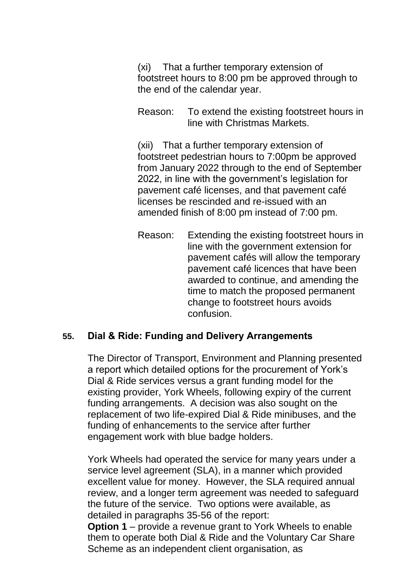(xi) That a further temporary extension of footstreet hours to 8:00 pm be approved through to the end of the calendar year.

Reason: To extend the existing footstreet hours in line with Christmas Markets.

(xii) That a further temporary extension of footstreet pedestrian hours to 7:00pm be approved from January 2022 through to the end of September 2022, in line with the government's legislation for pavement café licenses, and that pavement café licenses be rescinded and re-issued with an amended finish of 8:00 pm instead of 7:00 pm.

Reason: Extending the existing footstreet hours in line with the government extension for pavement cafés will allow the temporary pavement café licences that have been awarded to continue, and amending the time to match the proposed permanent change to footstreet hours avoids confusion.

#### **55. Dial & Ride: Funding and Delivery Arrangements**

The Director of Transport, Environment and Planning presented a report which detailed options for the procurement of York's Dial & Ride services versus a grant funding model for the existing provider, York Wheels, following expiry of the current funding arrangements. A decision was also sought on the replacement of two life-expired Dial & Ride minibuses, and the funding of enhancements to the service after further engagement work with blue badge holders.

York Wheels had operated the service for many years under a service level agreement (SLA), in a manner which provided excellent value for money. However, the SLA required annual review, and a longer term agreement was needed to safeguard the future of the service. Two options were available, as detailed in paragraphs 35-56 of the report: **Option 1** – provide a revenue grant to York Wheels to enable

them to operate both Dial & Ride and the Voluntary Car Share Scheme as an independent client organisation, as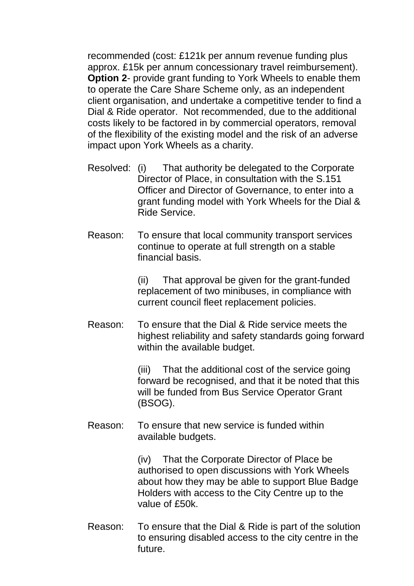recommended (cost: £121k per annum revenue funding plus approx. £15k per annum concessionary travel reimbursement). **Option 2**- provide grant funding to York Wheels to enable them to operate the Care Share Scheme only, as an independent client organisation, and undertake a competitive tender to find a Dial & Ride operator. Not recommended, due to the additional costs likely to be factored in by commercial operators, removal of the flexibility of the existing model and the risk of an adverse impact upon York Wheels as a charity.

- Resolved: (i) That authority be delegated to the Corporate Director of Place, in consultation with the S.151 Officer and Director of Governance, to enter into a grant funding model with York Wheels for the Dial & Ride Service.
- Reason: To ensure that local community transport services continue to operate at full strength on a stable financial basis.

(ii) That approval be given for the grant-funded replacement of two minibuses, in compliance with current council fleet replacement policies.

Reason: To ensure that the Dial & Ride service meets the highest reliability and safety standards going forward within the available budget.

> (iii) That the additional cost of the service going forward be recognised, and that it be noted that this will be funded from Bus Service Operator Grant (BSOG).

Reason: To ensure that new service is funded within available budgets.

> (iv) That the Corporate Director of Place be authorised to open discussions with York Wheels about how they may be able to support Blue Badge Holders with access to the City Centre up to the value of £50k.

Reason: To ensure that the Dial & Ride is part of the solution to ensuring disabled access to the city centre in the future.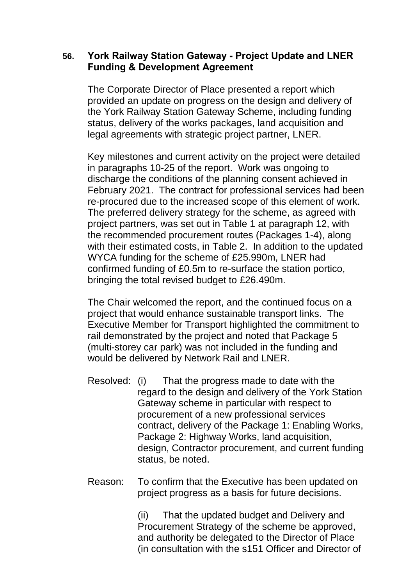## **56. York Railway Station Gateway - Project Update and LNER Funding & Development Agreement**

The Corporate Director of Place presented a report which provided an update on progress on the design and delivery of the York Railway Station Gateway Scheme, including funding status, delivery of the works packages, land acquisition and legal agreements with strategic project partner, LNER.

Key milestones and current activity on the project were detailed in paragraphs 10-25 of the report. Work was ongoing to discharge the conditions of the planning consent achieved in February 2021. The contract for professional services had been re-procured due to the increased scope of this element of work. The preferred delivery strategy for the scheme, as agreed with project partners, was set out in Table 1 at paragraph 12, with the recommended procurement routes (Packages 1-4), along with their estimated costs, in Table 2. In addition to the updated WYCA funding for the scheme of £25.990m, LNER had confirmed funding of £0.5m to re-surface the station portico, bringing the total revised budget to £26.490m.

The Chair welcomed the report, and the continued focus on a project that would enhance sustainable transport links. The Executive Member for Transport highlighted the commitment to rail demonstrated by the project and noted that Package 5 (multi-storey car park) was not included in the funding and would be delivered by Network Rail and LNER.

- Resolved: (i) That the progress made to date with the regard to the design and delivery of the York Station Gateway scheme in particular with respect to procurement of a new professional services contract, delivery of the Package 1: Enabling Works, Package 2: Highway Works, land acquisition, design, Contractor procurement, and current funding status, be noted.
- Reason: To confirm that the Executive has been updated on project progress as a basis for future decisions.

(ii) That the updated budget and Delivery and Procurement Strategy of the scheme be approved, and authority be delegated to the Director of Place (in consultation with the s151 Officer and Director of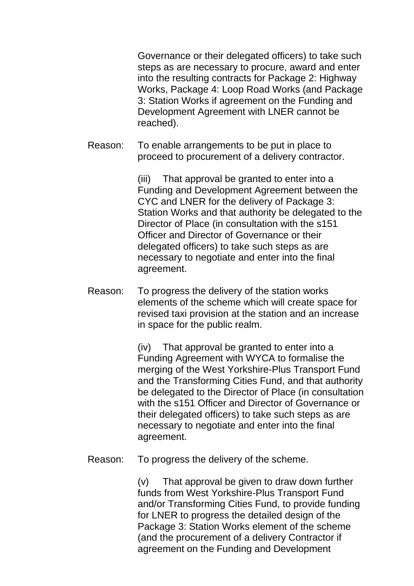Governance or their delegated officers) to take such steps as are necessary to procure, award and enter into the resulting contracts for Package 2: Highway Works, Package 4: Loop Road Works (and Package 3: Station Works if agreement on the Funding and Development Agreement with LNER cannot be reached).

Reason: To enable arrangements to be put in place to proceed to procurement of a delivery contractor.

> (iii) That approval be granted to enter into a Funding and Development Agreement between the CYC and LNER for the delivery of Package 3: Station Works and that authority be delegated to the Director of Place (in consultation with the s151 Officer and Director of Governance or their delegated officers) to take such steps as are necessary to negotiate and enter into the final agreement.

Reason: To progress the delivery of the station works elements of the scheme which will create space for revised taxi provision at the station and an increase in space for the public realm.

> (iv) That approval be granted to enter into a Funding Agreement with WYCA to formalise the merging of the West Yorkshire-Plus Transport Fund and the Transforming Cities Fund, and that authority be delegated to the Director of Place (in consultation with the s151 Officer and Director of Governance or their delegated officers) to take such steps as are necessary to negotiate and enter into the final agreement.

Reason: To progress the delivery of the scheme.

(v) That approval be given to draw down further funds from West Yorkshire-Plus Transport Fund and/or Transforming Cities Fund, to provide funding for LNER to progress the detailed design of the Package 3: Station Works element of the scheme (and the procurement of a delivery Contractor if agreement on the Funding and Development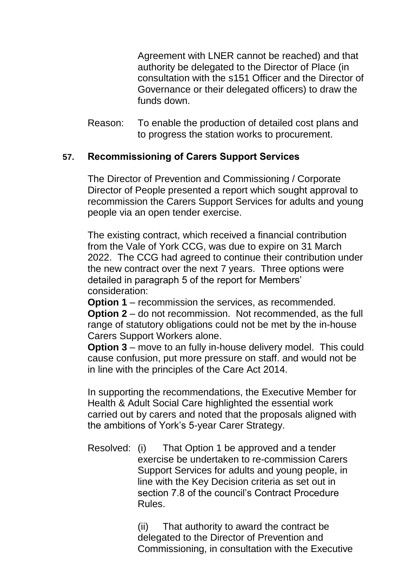Agreement with LNER cannot be reached) and that authority be delegated to the Director of Place (in consultation with the s151 Officer and the Director of Governance or their delegated officers) to draw the funds down.

Reason: To enable the production of detailed cost plans and to progress the station works to procurement.

## **57. Recommissioning of Carers Support Services**

The Director of Prevention and Commissioning / Corporate Director of People presented a report which sought approval to recommission the Carers Support Services for adults and young people via an open tender exercise.

The existing contract, which received a financial contribution from the Vale of York CCG, was due to expire on 31 March 2022. The CCG had agreed to continue their contribution under the new contract over the next 7 years. Three options were detailed in paragraph 5 of the report for Members' consideration:

**Option 1** – recommission the services, as recommended. **Option 2** – do not recommission. Not recommended, as the full range of statutory obligations could not be met by the in-house Carers Support Workers alone.

**Option 3** – move to an fully in-house delivery model. This could cause confusion, put more pressure on staff. and would not be in line with the principles of the Care Act 2014.

In supporting the recommendations, the Executive Member for Health & Adult Social Care highlighted the essential work carried out by carers and noted that the proposals aligned with the ambitions of York's 5-year Carer Strategy.

Resolved: (i) That Option 1 be approved and a tender exercise be undertaken to re-commission Carers Support Services for adults and young people, in line with the Key Decision criteria as set out in section 7.8 of the council's Contract Procedure Rules.

> (ii) That authority to award the contract be delegated to the Director of Prevention and Commissioning, in consultation with the Executive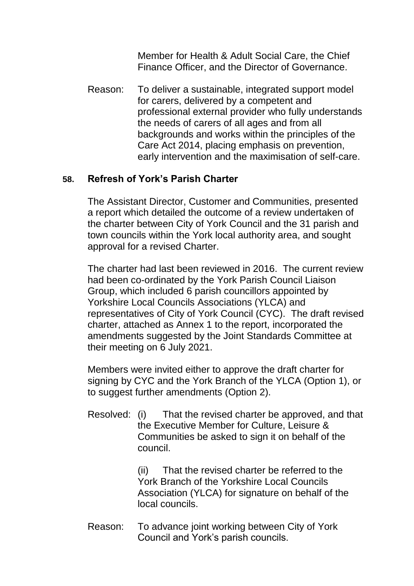Member for Health & Adult Social Care, the Chief Finance Officer, and the Director of Governance.

Reason: To deliver a sustainable, integrated support model for carers, delivered by a competent and professional external provider who fully understands the needs of carers of all ages and from all backgrounds and works within the principles of the Care Act 2014, placing emphasis on prevention, early intervention and the maximisation of self-care.

## **58. Refresh of York's Parish Charter**

The Assistant Director, Customer and Communities, presented a report which detailed the outcome of a review undertaken of the charter between City of York Council and the 31 parish and town councils within the York local authority area, and sought approval for a revised Charter.

The charter had last been reviewed in 2016. The current review had been co-ordinated by the York Parish Council Liaison Group, which included 6 parish councillors appointed by Yorkshire Local Councils Associations (YLCA) and representatives of City of York Council (CYC). The draft revised charter, attached as Annex 1 to the report, incorporated the amendments suggested by the Joint Standards Committee at their meeting on 6 July 2021.

Members were invited either to approve the draft charter for signing by CYC and the York Branch of the YLCA (Option 1), or to suggest further amendments (Option 2).

Resolved: (i) That the revised charter be approved, and that the Executive Member for Culture, Leisure & Communities be asked to sign it on behalf of the council.

> (ii) That the revised charter be referred to the York Branch of the Yorkshire Local Councils Association (YLCA) for signature on behalf of the local councils.

Reason: To advance joint working between City of York Council and York's parish councils.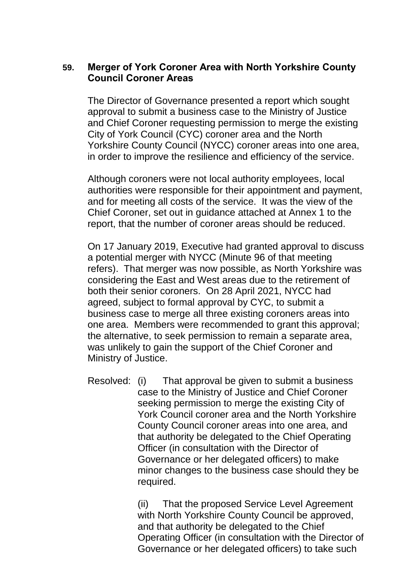## **59. Merger of York Coroner Area with North Yorkshire County Council Coroner Areas**

The Director of Governance presented a report which sought approval to submit a business case to the Ministry of Justice and Chief Coroner requesting permission to merge the existing City of York Council (CYC) coroner area and the North Yorkshire County Council (NYCC) coroner areas into one area, in order to improve the resilience and efficiency of the service.

Although coroners were not local authority employees, local authorities were responsible for their appointment and payment, and for meeting all costs of the service. It was the view of the Chief Coroner, set out in guidance attached at Annex 1 to the report, that the number of coroner areas should be reduced.

On 17 January 2019, Executive had granted approval to discuss a potential merger with NYCC (Minute 96 of that meeting refers). That merger was now possible, as North Yorkshire was considering the East and West areas due to the retirement of both their senior coroners. On 28 April 2021, NYCC had agreed, subject to formal approval by CYC, to submit a business case to merge all three existing coroners areas into one area. Members were recommended to grant this approval; the alternative, to seek permission to remain a separate area, was unlikely to gain the support of the Chief Coroner and Ministry of Justice.

Resolved: (i) That approval be given to submit a business case to the Ministry of Justice and Chief Coroner seeking permission to merge the existing City of York Council coroner area and the North Yorkshire County Council coroner areas into one area, and that authority be delegated to the Chief Operating Officer (in consultation with the Director of Governance or her delegated officers) to make minor changes to the business case should they be required.

> (ii) That the proposed Service Level Agreement with North Yorkshire County Council be approved, and that authority be delegated to the Chief Operating Officer (in consultation with the Director of Governance or her delegated officers) to take such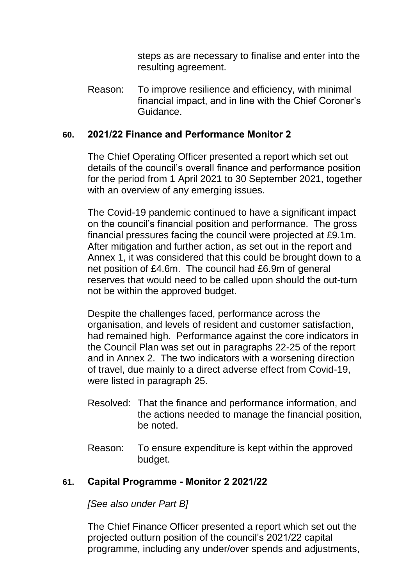steps as are necessary to finalise and enter into the resulting agreement.

Reason: To improve resilience and efficiency, with minimal financial impact, and in line with the Chief Coroner's Guidance.

## **60. 2021/22 Finance and Performance Monitor 2**

The Chief Operating Officer presented a report which set out details of the council's overall finance and performance position for the period from 1 April 2021 to 30 September 2021, together with an overview of any emerging issues.

The Covid-19 pandemic continued to have a significant impact on the council's financial position and performance. The gross financial pressures facing the council were projected at £9.1m. After mitigation and further action, as set out in the report and Annex 1, it was considered that this could be brought down to a net position of £4.6m. The council had £6.9m of general reserves that would need to be called upon should the out-turn not be within the approved budget.

Despite the challenges faced, performance across the organisation, and levels of resident and customer satisfaction, had remained high. Performance against the core indicators in the Council Plan was set out in paragraphs 22-25 of the report and in Annex 2.The two indicators with a worsening direction of travel, due mainly to a direct adverse effect from Covid-19, were listed in paragraph 25.

- Resolved: That the finance and performance information, and the actions needed to manage the financial position, be noted.
- Reason: To ensure expenditure is kept within the approved budget.

## **61. Capital Programme - Monitor 2 2021/22**

*[See also under Part B]*

The Chief Finance Officer presented a report which set out the projected outturn position of the council's 2021/22 capital programme, including any under/over spends and adjustments,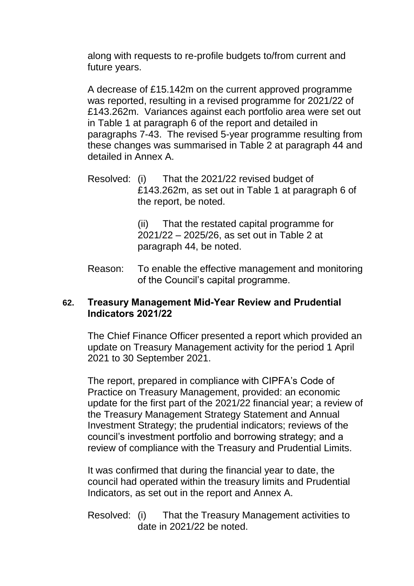along with requests to re-profile budgets to/from current and future years.

A decrease of £15.142m on the current approved programme was reported, resulting in a revised programme for 2021/22 of £143.262m. Variances against each portfolio area were set out in Table 1 at paragraph 6 of the report and detailed in paragraphs 7-43. The revised 5-year programme resulting from these changes was summarised in Table 2 at paragraph 44 and detailed in Annex A.

Resolved: (i) That the 2021/22 revised budget of £143.262m, as set out in Table 1 at paragraph 6 of the report, be noted.

> (ii) That the restated capital programme for 2021/22 – 2025/26, as set out in Table 2 at paragraph 44, be noted.

Reason: To enable the effective management and monitoring of the Council's capital programme.

## **62. Treasury Management Mid-Year Review and Prudential Indicators 2021/22**

The Chief Finance Officer presented a report which provided an update on Treasury Management activity for the period 1 April 2021 to 30 September 2021.

The report, prepared in compliance with CIPFA's Code of Practice on Treasury Management, provided: an economic update for the first part of the 2021/22 financial year; a review of the Treasury Management Strategy Statement and Annual Investment Strategy; the prudential indicators; reviews of the council's investment portfolio and borrowing strategy; and a review of compliance with the Treasury and Prudential Limits.

It was confirmed that during the financial year to date, the council had operated within the treasury limits and Prudential Indicators, as set out in the report and Annex A.

Resolved: (i) That the Treasury Management activities to date in 2021/22 be noted.